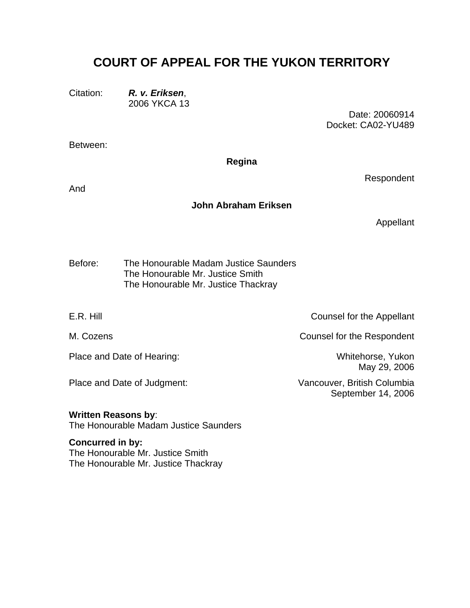# **COURT OF APPEAL FOR THE YUKON TERRITORY**

Citation: *R. v. Eriksen*, 2006 YKCA 13

> Date: 20060914 Docket: CA02-YU489

Between:

#### **Regina**

And

## **John Abraham Eriksen**

Appellant

Respondent

The Honourable Madam Justice Saunders The Honourable Mr. Justice Smith Before: The Honourable Mr. Justice Thackray

E.R. Hill **E.R.** Hill **E.R.** Hill **Counsel for the Appellant** 

Place and Date of Hearing: Whitehorse, Yukon

M. Cozens **Counsel for the Respondent** 

May 29, 2006

Place and Date of Judgment: Vancouver, British Columbia September 14, 2006

**Written Reasons by**: The Honourable Madam Justice Saunders

**Concurred in by:**  The Honourable Mr. Justice Smith The Honourable Mr. Justice Thackray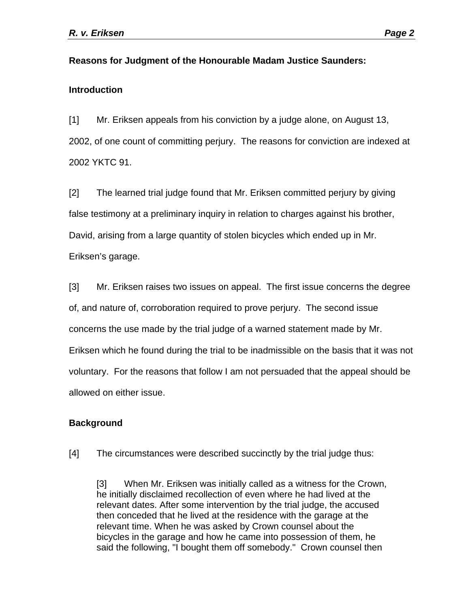## **Reasons for Judgment of the Honourable Madam Justice Saunders:**

## **Introduction**

[1] Mr. Eriksen appeals from his conviction by a judge alone, on August 13, 2002, of one count of committing perjury. The reasons for conviction are indexed at 2002 YKTC 91.

[2] The learned trial judge found that Mr. Eriksen committed perjury by giving false testimony at a preliminary inquiry in relation to charges against his brother, David, arising from a large quantity of stolen bicycles which ended up in Mr. Eriksen's garage.

[3] Mr. Eriksen raises two issues on appeal. The first issue concerns the degree of, and nature of, corroboration required to prove perjury. The second issue concerns the use made by the trial judge of a warned statement made by Mr. Eriksen which he found during the trial to be inadmissible on the basis that it was not voluntary. For the reasons that follow I am not persuaded that the appeal should be allowed on either issue.

## **Background**

[4] The circumstances were described succinctly by the trial judge thus:

[3] When Mr. Eriksen was initially called as a witness for the Crown, he initially disclaimed recollection of even where he had lived at the relevant dates. After some intervention by the trial judge, the accused then conceded that he lived at the residence with the garage at the relevant time. When he was asked by Crown counsel about the bicycles in the garage and how he came into possession of them, he said the following, "I bought them off somebody." Crown counsel then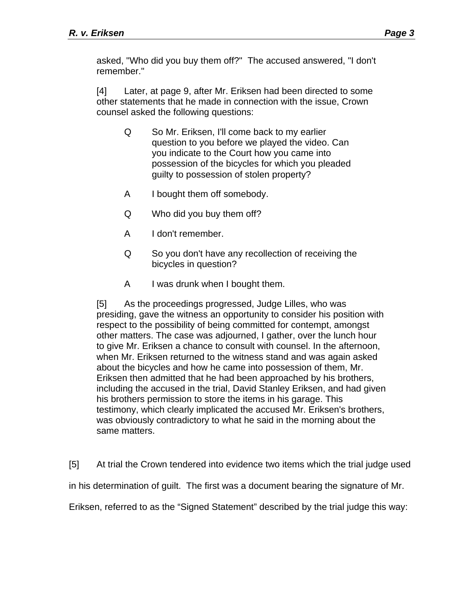asked, "Who did you buy them off?" The accused answered, "I don't remember."

[4] Later, at page 9, after Mr. Eriksen had been directed to some other statements that he made in connection with the issue, Crown counsel asked the following questions:

- Q So Mr. Eriksen, I'll come back to my earlier question to you before we played the video. Can you indicate to the Court how you came into possession of the bicycles for which you pleaded guilty to possession of stolen property?
- A I bought them off somebody.
- Q Who did you buy them off?
- A I don't remember.
- Q So you don't have any recollection of receiving the bicycles in question?
- A I was drunk when I bought them.

[5] As the proceedings progressed, Judge Lilles, who was presiding, gave the witness an opportunity to consider his position with respect to the possibility of being committed for contempt, amongst other matters. The case was adjourned, I gather, over the lunch hour to give Mr. Eriksen a chance to consult with counsel. In the afternoon, when Mr. Eriksen returned to the witness stand and was again asked about the bicycles and how he came into possession of them, Mr. Eriksen then admitted that he had been approached by his brothers, including the accused in the trial, David Stanley Eriksen, and had given his brothers permission to store the items in his garage. This testimony, which clearly implicated the accused Mr. Eriksen's brothers, was obviously contradictory to what he said in the morning about the same matters.

[5] At trial the Crown tendered into evidence two items which the trial judge used in his determination of guilt. The first was a document bearing the signature of Mr.

Eriksen, referred to as the "Signed Statement" described by the trial judge this way: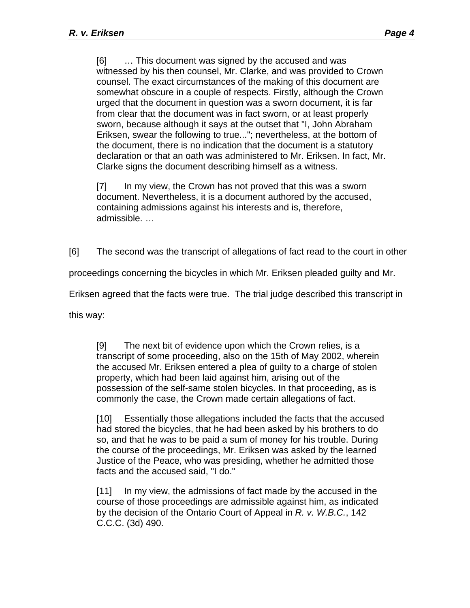[6] … This document was signed by the accused and was witnessed by his then counsel, Mr. Clarke, and was provided to Crown counsel. The exact circumstances of the making of this document are somewhat obscure in a couple of respects. Firstly, although the Crown urged that the document in question was a sworn document, it is far from clear that the document was in fact sworn, or at least properly sworn, because although it says at the outset that "I, John Abraham Eriksen, swear the following to true..."; nevertheless, at the bottom of the document, there is no indication that the document is a statutory declaration or that an oath was administered to Mr. Eriksen. In fact, Mr. Clarke signs the document describing himself as a witness.

[7] In my view, the Crown has not proved that this was a sworn document. Nevertheless, it is a document authored by the accused, containing admissions against his interests and is, therefore, admissible. …

[6] The second was the transcript of allegations of fact read to the court in other

proceedings concerning the bicycles in which Mr. Eriksen pleaded guilty and Mr.

Eriksen agreed that the facts were true. The trial judge described this transcript in

this way:

[9] The next bit of evidence upon which the Crown relies, is a transcript of some proceeding, also on the 15th of May 2002, wherein the accused Mr. Eriksen entered a plea of guilty to a charge of stolen property, which had been laid against him, arising out of the possession of the self-same stolen bicycles. In that proceeding, as is commonly the case, the Crown made certain allegations of fact.

[10] Essentially those allegations included the facts that the accused had stored the bicycles, that he had been asked by his brothers to do so, and that he was to be paid a sum of money for his trouble. During the course of the proceedings, Mr. Eriksen was asked by the learned Justice of the Peace, who was presiding, whether he admitted those facts and the accused said, "I do."

[11] In my view, the admissions of fact made by the accused in the course of those proceedings are admissible against him, as indicated by the decision of the Ontario Court of Appeal in *R. v. W.B.C.*, 142 C.C.C. (3d) 490.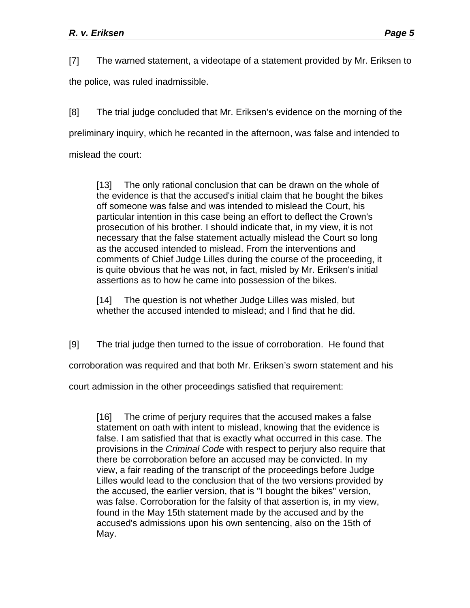[7] The warned statement, a videotape of a statement provided by Mr. Eriksen to

the police, was ruled inadmissible.

[8] The trial judge concluded that Mr. Eriksen's evidence on the morning of the preliminary inquiry, which he recanted in the afternoon, was false and intended to

mislead the court:

[13] The only rational conclusion that can be drawn on the whole of the evidence is that the accused's initial claim that he bought the bikes off someone was false and was intended to mislead the Court, his particular intention in this case being an effort to deflect the Crown's prosecution of his brother. I should indicate that, in my view, it is not necessary that the false statement actually mislead the Court so long as the accused intended to mislead. From the interventions and comments of Chief Judge Lilles during the course of the proceeding, it is quite obvious that he was not, in fact, misled by Mr. Eriksen's initial assertions as to how he came into possession of the bikes.

[14] The question is not whether Judge Lilles was misled, but whether the accused intended to mislead; and I find that he did.

[9] The trial judge then turned to the issue of corroboration. He found that

corroboration was required and that both Mr. Eriksen's sworn statement and his

court admission in the other proceedings satisfied that requirement:

[16] The crime of perjury requires that the accused makes a false statement on oath with intent to mislead, knowing that the evidence is false. I am satisfied that that is exactly what occurred in this case. The provisions in the *Criminal Code* with respect to perjury also require that there be corroboration before an accused may be convicted. In my view, a fair reading of the transcript of the proceedings before Judge Lilles would lead to the conclusion that of the two versions provided by the accused, the earlier version, that is "I bought the bikes" version, was false. Corroboration for the falsity of that assertion is, in my view, found in the May 15th statement made by the accused and by the accused's admissions upon his own sentencing, also on the 15th of May.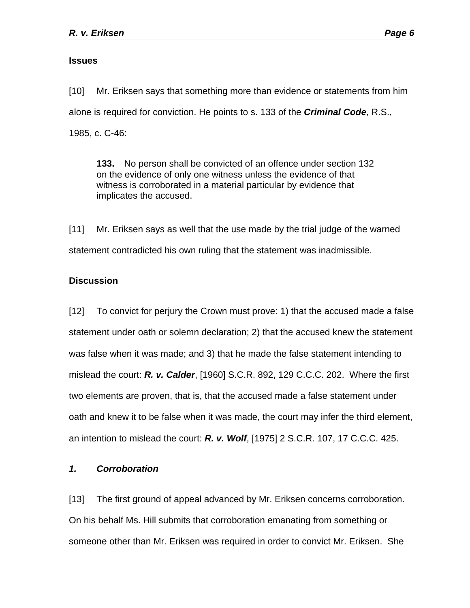#### **Issues**

[10] Mr. Eriksen says that something more than evidence or statements from him alone is required for conviction. He points to s. 133 of the *Criminal Code*, R.S., 1985, c. C-46:

**133.** No person shall be convicted of an offence under section 132 on the evidence of only one witness unless the evidence of that witness is corroborated in a material particular by evidence that implicates the accused.

[11] Mr. Eriksen says as well that the use made by the trial judge of the warned statement contradicted his own ruling that the statement was inadmissible.

## **Discussion**

[12] To convict for perjury the Crown must prove: 1) that the accused made a false statement under oath or solemn declaration; 2) that the accused knew the statement was false when it was made; and 3) that he made the false statement intending to mislead the court: *R. v. Calder*, [1960] S.C.R. 892, 129 C.C.C. 202. Where the first two elements are proven, that is, that the accused made a false statement under oath and knew it to be false when it was made, the court may infer the third element, an intention to mislead the court: *R. v. Wolf*, [1975] 2 S.C.R. 107, 17 C.C.C. 425.

#### *1. Corroboration*

[13] The first ground of appeal advanced by Mr. Eriksen concerns corroboration. On his behalf Ms. Hill submits that corroboration emanating from something or someone other than Mr. Eriksen was required in order to convict Mr. Eriksen. She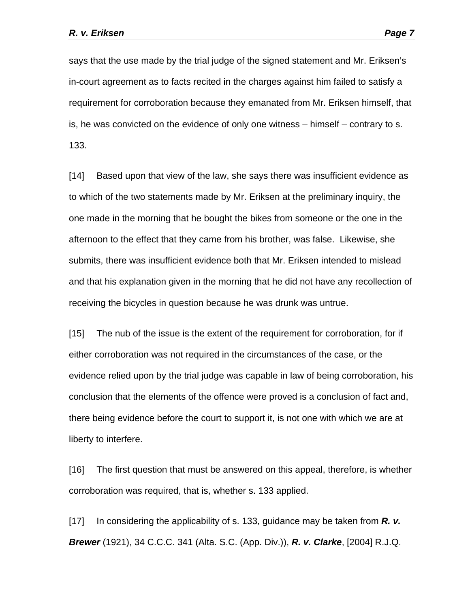says that the use made by the trial judge of the signed statement and Mr. Eriksen's in-court agreement as to facts recited in the charges against him failed to satisfy a requirement for corroboration because they emanated from Mr. Eriksen himself, that is, he was convicted on the evidence of only one witness – himself – contrary to s. 133.

[14] Based upon that view of the law, she says there was insufficient evidence as to which of the two statements made by Mr. Eriksen at the preliminary inquiry, the one made in the morning that he bought the bikes from someone or the one in the afternoon to the effect that they came from his brother, was false. Likewise, she submits, there was insufficient evidence both that Mr. Eriksen intended to mislead and that his explanation given in the morning that he did not have any recollection of receiving the bicycles in question because he was drunk was untrue.

[15] The nub of the issue is the extent of the requirement for corroboration, for if either corroboration was not required in the circumstances of the case, or the evidence relied upon by the trial judge was capable in law of being corroboration, his conclusion that the elements of the offence were proved is a conclusion of fact and, there being evidence before the court to support it, is not one with which we are at liberty to interfere.

[16] The first question that must be answered on this appeal, therefore, is whether corroboration was required, that is, whether s. 133 applied.

[17] In considering the applicability of s. 133, guidance may be taken from *R. v. Brewer* (1921), 34 C.C.C. 341 (Alta. S.C. (App. Div.)), *R. v. Clarke*, [2004] R.J.Q.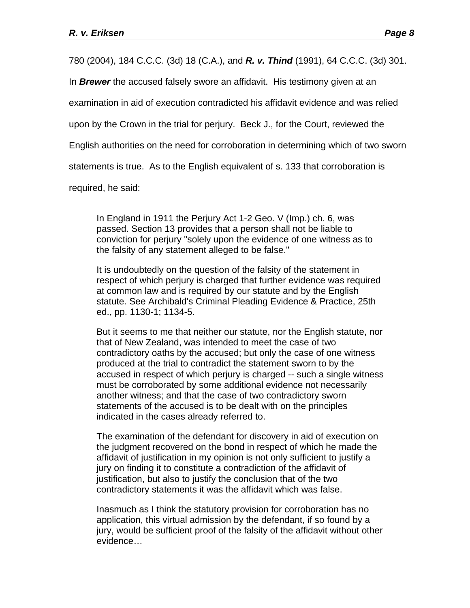780 (2004), 184 C.C.C. (3d) 18 (C.A.), and *R. v. Thind* (1991), 64 C.C.C. (3d) 301.

In *Brewer* the accused falsely swore an affidavit. His testimony given at an

examination in aid of execution contradicted his affidavit evidence and was relied

upon by the Crown in the trial for perjury. Beck J., for the Court, reviewed the

English authorities on the need for corroboration in determining which of two sworn

statements is true. As to the English equivalent of s. 133 that corroboration is

required, he said:

In England in 1911 the Perjury Act 1-2 Geo. V (Imp.) ch. 6, was passed. Section 13 provides that a person shall not be liable to conviction for perjury "solely upon the evidence of one witness as to the falsity of any statement alleged to be false."

It is undoubtedly on the question of the falsity of the statement in respect of which perjury is charged that further evidence was required at common law and is required by our statute and by the English statute. See Archibald's Criminal Pleading Evidence & Practice, 25th ed., pp. 1130-1; 1134-5.

But it seems to me that neither our statute, nor the English statute, nor that of New Zealand, was intended to meet the case of two contradictory oaths by the accused; but only the case of one witness produced at the trial to contradict the statement sworn to by the accused in respect of which perjury is charged -- such a single witness must be corroborated by some additional evidence not necessarily another witness; and that the case of two contradictory sworn statements of the accused is to be dealt with on the principles indicated in the cases already referred to.

The examination of the defendant for discovery in aid of execution on the judgment recovered on the bond in respect of which he made the affidavit of justification in my opinion is not only sufficient to justify a jury on finding it to constitute a contradiction of the affidavit of justification, but also to justify the conclusion that of the two contradictory statements it was the affidavit which was false.

Inasmuch as I think the statutory provision for corroboration has no application, this virtual admission by the defendant, if so found by a jury, would be sufficient proof of the falsity of the affidavit without other evidence…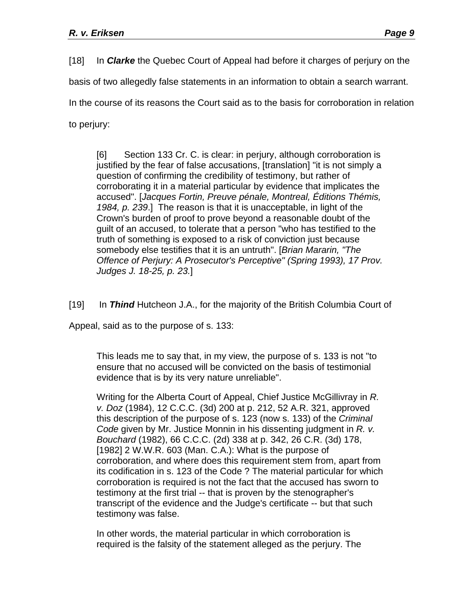[18] In *Clarke* the Quebec Court of Appeal had before it charges of perjury on the

basis of two allegedly false statements in an information to obtain a search warrant.

In the course of its reasons the Court said as to the basis for corroboration in relation

to perjury:

[6] Section 133 Cr. C. is clear: in perjury, although corroboration is justified by the fear of false accusations, [translation] "it is not simply a question of confirming the credibility of testimony, but rather of corroborating it in a material particular by evidence that implicates the accused". [*Jacques Fortin, Preuve pénale, Montreal, Éditions Thémis, 1984, p. 239*.] The reason is that it is unacceptable, in light of the Crown's burden of proof to prove beyond a reasonable doubt of the guilt of an accused, to tolerate that a person "who has testified to the truth of something is exposed to a risk of conviction just because somebody else testifies that it is an untruth". [*Brian Mararin, "The Offence of Perjury: A Prosecutor's Perceptive" (Spring 1993), 17 Prov. Judges J. 18-25, p. 23.*]

[19] In *Thind* Hutcheon J.A., for the majority of the British Columbia Court of

Appeal, said as to the purpose of s. 133:

This leads me to say that, in my view, the purpose of s. 133 is not "to ensure that no accused will be convicted on the basis of testimonial evidence that is by its very nature unreliable".

Writing for the Alberta Court of Appeal, Chief Justice McGillivray in *R. v. Doz* (1984), 12 C.C.C. (3d) 200 at p. 212, 52 A.R. 321, approved this description of the purpose of s. 123 (now s. 133) of the *Criminal Code* given by Mr. Justice Monnin in his dissenting judgment in *R. v. Bouchard* (1982), 66 C.C.C. (2d) 338 at p. 342, 26 C.R. (3d) 178, [1982] 2 W.W.R. 603 (Man. C.A.): What is the purpose of corroboration, and where does this requirement stem from, apart from its codification in s. 123 of the Code ? The material particular for which corroboration is required is not the fact that the accused has sworn to testimony at the first trial -- that is proven by the stenographer's transcript of the evidence and the Judge's certificate -- but that such testimony was false.

In other words, the material particular in which corroboration is required is the falsity of the statement alleged as the perjury. The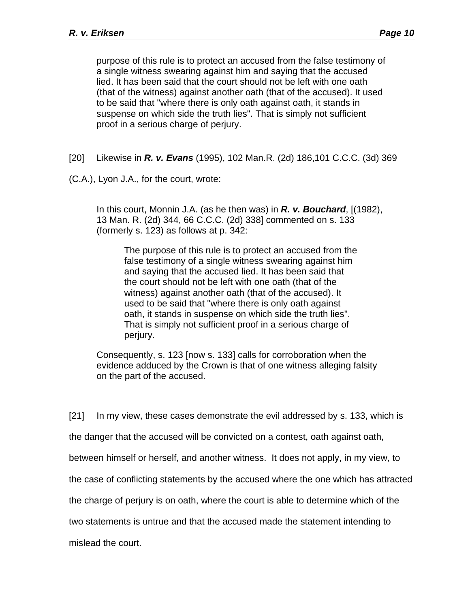purpose of this rule is to protect an accused from the false testimony of a single witness swearing against him and saying that the accused lied. It has been said that the court should not be left with one oath (that of the witness) against another oath (that of the accused). It used to be said that "where there is only oath against oath, it stands in suspense on which side the truth lies". That is simply not sufficient proof in a serious charge of perjury.

- [20] Likewise in *R. v. Evans* (1995), 102 Man.R. (2d) 186,101 C.C.C. (3d) 369
- (C.A.), Lyon J.A., for the court, wrote:

In this court, Monnin J.A. (as he then was) in *R. v. Bouchard*, [(1982), 13 Man. R. (2d) 344, 66 C.C.C. (2d) 338] commented on s. 133 (formerly s. 123) as follows at p. 342:

The purpose of this rule is to protect an accused from the false testimony of a single witness swearing against him and saying that the accused lied. It has been said that the court should not be left with one oath (that of the witness) against another oath (that of the accused). It used to be said that "where there is only oath against oath, it stands in suspense on which side the truth lies". That is simply not sufficient proof in a serious charge of perjury.

Consequently, s. 123 [now s. 133] calls for corroboration when the evidence adduced by the Crown is that of one witness alleging falsity on the part of the accused.

[21] In my view, these cases demonstrate the evil addressed by s. 133, which is

the danger that the accused will be convicted on a contest, oath against oath,

between himself or herself, and another witness. It does not apply, in my view, to

the case of conflicting statements by the accused where the one which has attracted

the charge of perjury is on oath, where the court is able to determine which of the

two statements is untrue and that the accused made the statement intending to

mislead the court.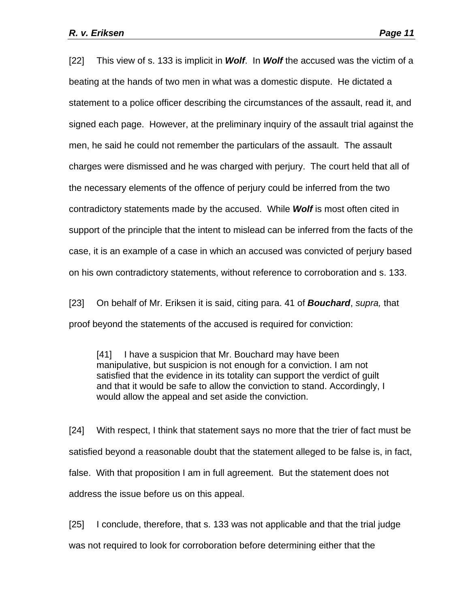[22] This view of s. 133 is implicit in *Wolf*. In *Wolf* the accused was the victim of a beating at the hands of two men in what was a domestic dispute. He dictated a statement to a police officer describing the circumstances of the assault, read it, and signed each page. However, at the preliminary inquiry of the assault trial against the men, he said he could not remember the particulars of the assault. The assault charges were dismissed and he was charged with perjury. The court held that all of the necessary elements of the offence of perjury could be inferred from the two contradictory statements made by the accused. While *Wolf* is most often cited in support of the principle that the intent to mislead can be inferred from the facts of the case, it is an example of a case in which an accused was convicted of perjury based on his own contradictory statements, without reference to corroboration and s. 133.

[23] On behalf of Mr. Eriksen it is said, citing para. 41 of *Bouchard*, *supra,* that proof beyond the statements of the accused is required for conviction:

[41] I have a suspicion that Mr. Bouchard may have been manipulative, but suspicion is not enough for a conviction. I am not satisfied that the evidence in its totality can support the verdict of guilt and that it would be safe to allow the conviction to stand. Accordingly, I would allow the appeal and set aside the conviction.

[24] With respect, I think that statement says no more that the trier of fact must be satisfied beyond a reasonable doubt that the statement alleged to be false is, in fact, false. With that proposition I am in full agreement. But the statement does not address the issue before us on this appeal.

[25] I conclude, therefore, that s. 133 was not applicable and that the trial judge was not required to look for corroboration before determining either that the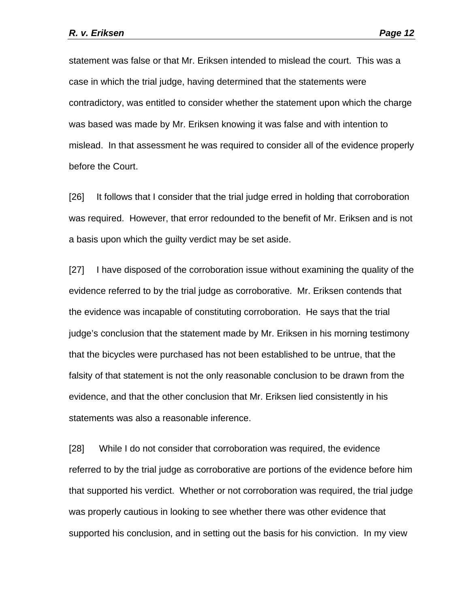statement was false or that Mr. Eriksen intended to mislead the court. This was a case in which the trial judge, having determined that the statements were contradictory, was entitled to consider whether the statement upon which the charge was based was made by Mr. Eriksen knowing it was false and with intention to mislead. In that assessment he was required to consider all of the evidence properly before the Court.

[26] It follows that I consider that the trial judge erred in holding that corroboration was required. However, that error redounded to the benefit of Mr. Eriksen and is not a basis upon which the guilty verdict may be set aside.

[27] I have disposed of the corroboration issue without examining the quality of the evidence referred to by the trial judge as corroborative. Mr. Eriksen contends that the evidence was incapable of constituting corroboration. He says that the trial judge's conclusion that the statement made by Mr. Eriksen in his morning testimony that the bicycles were purchased has not been established to be untrue, that the falsity of that statement is not the only reasonable conclusion to be drawn from the evidence, and that the other conclusion that Mr. Eriksen lied consistently in his statements was also a reasonable inference.

[28] While I do not consider that corroboration was required, the evidence referred to by the trial judge as corroborative are portions of the evidence before him that supported his verdict. Whether or not corroboration was required, the trial judge was properly cautious in looking to see whether there was other evidence that supported his conclusion, and in setting out the basis for his conviction. In my view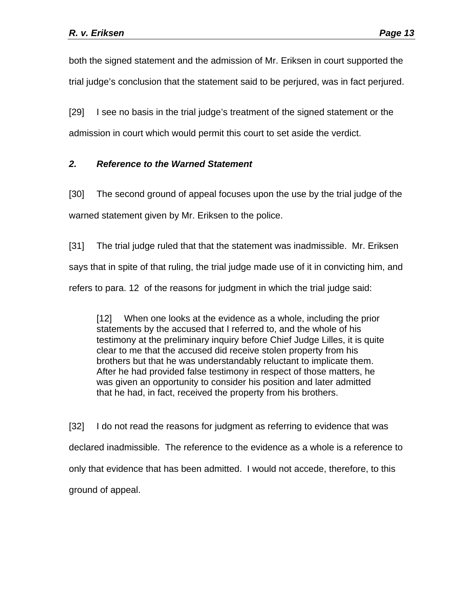both the signed statement and the admission of Mr. Eriksen in court supported the trial judge's conclusion that the statement said to be perjured, was in fact perjured.

[29] I see no basis in the trial judge's treatment of the signed statement or the admission in court which would permit this court to set aside the verdict.

# *2. Reference to the Warned Statement*

[30] The second ground of appeal focuses upon the use by the trial judge of the warned statement given by Mr. Eriksen to the police.

[31] The trial judge ruled that that the statement was inadmissible. Mr. Eriksen says that in spite of that ruling, the trial judge made use of it in convicting him, and refers to para. 12 of the reasons for judgment in which the trial judge said:

[12] When one looks at the evidence as a whole, including the prior statements by the accused that I referred to, and the whole of his testimony at the preliminary inquiry before Chief Judge Lilles, it is quite clear to me that the accused did receive stolen property from his brothers but that he was understandably reluctant to implicate them. After he had provided false testimony in respect of those matters, he was given an opportunity to consider his position and later admitted that he had, in fact, received the property from his brothers.

[32] I do not read the reasons for judgment as referring to evidence that was declared inadmissible. The reference to the evidence as a whole is a reference to only that evidence that has been admitted. I would not accede, therefore, to this ground of appeal.